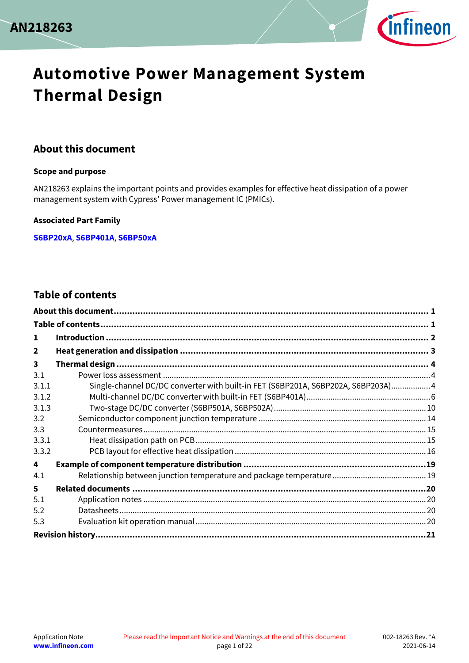



# **Automotive Power Management System Thermal Design**

### <span id="page-0-0"></span>**About this document**

#### **Scope and purpose**

AN218263 explains the important points and provides examples for effective heat dissipation of a power management system with Cypress' Power management IC (PMICs).

#### **Associated Part Family**

**[S6BP20xA](https://www.cypress.com/products/automotive-power-management-ics-pmics)**, **[S6BP401A](https://www.cypress.com/products/automotive-power-management-ics-pmics)**, **[S6BP50xA](https://www.cypress.com/products/automotive-power-management-ics-pmics)**

### <span id="page-0-1"></span>**Table of contents**

| 1              |                                                                                  |  |
|----------------|----------------------------------------------------------------------------------|--|
| $\overline{2}$ |                                                                                  |  |
| 3              |                                                                                  |  |
| 3.1            |                                                                                  |  |
| 3.1.1          | Single-channel DC/DC converter with built-in FET (S6BP201A, S6BP202A, S6BP203A)4 |  |
| 3.1.2          |                                                                                  |  |
| 3.1.3          |                                                                                  |  |
| 3.2            |                                                                                  |  |
| 3.3            |                                                                                  |  |
| 3.3.1          |                                                                                  |  |
| 3.3.2          |                                                                                  |  |
| 4              |                                                                                  |  |
| 4.1            |                                                                                  |  |
| 5              |                                                                                  |  |
| 5.1            |                                                                                  |  |
| 5.2            |                                                                                  |  |
| 5.3            |                                                                                  |  |
|                |                                                                                  |  |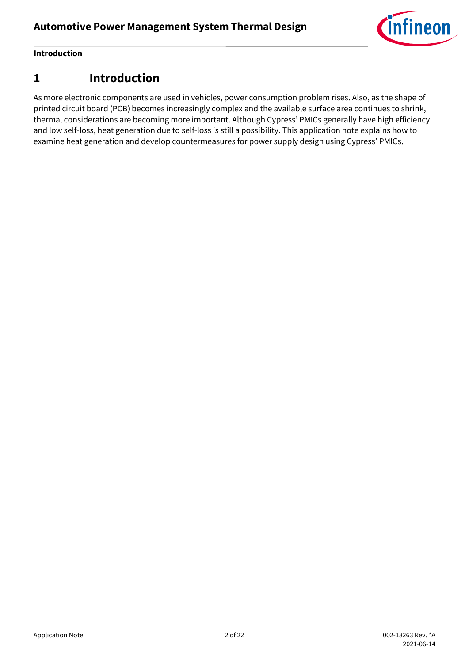

#### **Introduction**

### <span id="page-1-0"></span>**1 Introduction**

As more electronic components are used in vehicles, power consumption problem rises. Also, as the shape of printed circuit board (PCB) becomes increasingly complex and the available surface area continues to shrink, thermal considerations are becoming more important. Although Cypress' PMICs generally have high efficiency and low self-loss, heat generation due to self-loss is still a possibility. This application note explains how to examine heat generation and develop countermeasures for power supply design using Cypress' PMICs.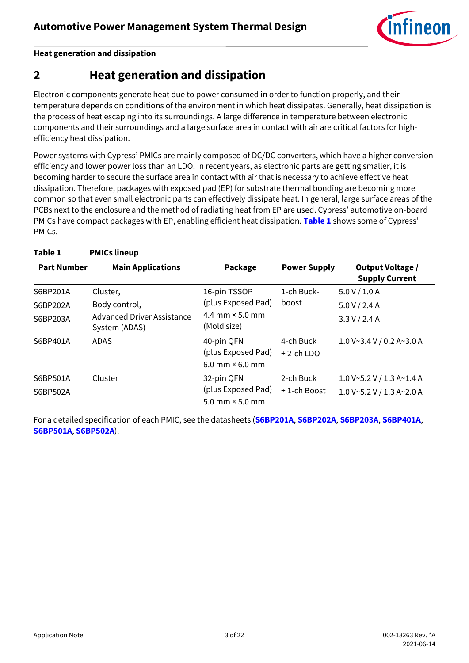

**Heat generation and dissipation**

# <span id="page-2-0"></span>**2 Heat generation and dissipation**

Electronic components generate heat due to power consumed in order to function properly, and their temperature depends on conditions of the environment in which heat dissipates. Generally, heat dissipation is the process of heat escaping into its surroundings. A large difference in temperature between electronic components and their surroundings and a large surface area in contact with air are critical factors for highefficiency heat dissipation.

Power systems with Cypress' PMICs are mainly composed of DC/DC converters, which have a higher conversion efficiency and lower power loss than an LDO. In recent years, as electronic parts are getting smaller, it is becoming harder to secure the surface area in contact with air that is necessary to achieve effective heat dissipation. Therefore, packages with exposed pad (EP) for substrate thermal bonding are becoming more common so that even small electronic parts can effectively dissipate heat. In general, large surface areas of the PCBs next to the enclosure and the method of radiating heat from EP are used. Cypress' automotive on-board PMICs have compact packages with EP, enabling efficient heat dissipation. **[Table 1](#page-2-1)** shows some of Cypress' PMICs.

| <b>Part Number</b> | <b>Main Applications</b>                           | Package                                      | <b>Power Supply</b>       | Output Voltage /<br><b>Supply Current</b> |
|--------------------|----------------------------------------------------|----------------------------------------------|---------------------------|-------------------------------------------|
| S6BP201A           | Cluster,                                           | 16-pin TSSOP                                 | 1-ch Buck-                | 5.0 V / 1.0 A                             |
| S6BP202A           | Body control,                                      | (plus Exposed Pad)                           | boost                     | 5.0 V / 2.4 A                             |
| S6BP203A           | <b>Advanced Driver Assistance</b><br>System (ADAS) | 4.4 mm $\times$ 5.0 mm<br>(Mold size)        |                           | 3.3 V / 2.4 A                             |
| S6BP401A           | <b>ADAS</b>                                        | 40-pin QFN<br>(plus Exposed Pad)             | 4-ch Buck<br>$+2$ -ch LDO | 1.0 V~3.4 V/0.2 A~3.0 A                   |
|                    |                                                    | $6.0$ mm $\times$ 6.0 mm                     |                           |                                           |
| S6BP501A           | Cluster                                            | 32-pin QFN                                   | 2-ch Buck                 | 1.0 V~5.2 V / 1.3 A~1.4 A                 |
| S6BP502A           |                                                    | (plus Exposed Pad)<br>5.0 mm $\times$ 5.0 mm | +1-ch Boost               | 1.0 V~5.2 V / 1.3 A~2.0 A                 |

<span id="page-2-1"></span>**Table 1 PMICs lineup**

For a detailed specification of each PMIC, see the datasheets (**[S6BP201A](https://www.cypress.com/documentation/datasheets/s6bp201a-assp-42v-1a-synchronous-buck-boost-dcdc-converter-ic?source=search&keywords=s6bp201)**, **[S6BP202A](https://www.cypress.com/documentation/datasheets/s6bp202a-assp-42v-24a-synchronous-buck-boost-dcdc-converter-ic?source=search&keywords=s6bp202)**, **[S6BP203A](https://www.cypress.com/documentation/datasheets/s6bp203a-assp-42v-24a-synchronous-buck-boost-dcdc-converter-ic?source=search&keywords=s6bp203)**, **[S6BP401A](https://www.cypress.com/documentation/datasheets/s6bp401a-power-management-ic-automotive-adas-platform-datasheet?source=search&keywords=s6bp401)**, **[S6BP501A](https://www.cypress.com/documentation/datasheets/s6bp501a-s6bp502a-3ch-dcdc-converter-ic-automotive-cluster-datasheet?source=search&keywords=s6bp501)**, **[S6BP502A](https://www.cypress.com/documentation/datasheets/s6bp501a-s6bp502a-3ch-dcdc-converter-ic-automotive-cluster-datasheet?source=search&keywords=s6bp501)**).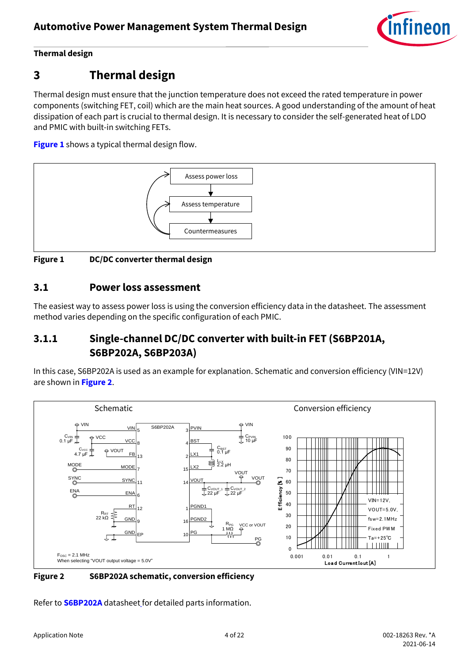

# <span id="page-3-0"></span>**3 Thermal design**

Thermal design must ensure that the junction temperature does not exceed the rated temperature in power components (switching FET, coil) which are the main heat sources. A good understanding of the amount of heat dissipation of each part is crucial to thermal design. It is necessary to consider the self-generated heat of LDO and PMIC with built-in switching FETs.

**[Figure 1](#page-3-3)** shows a typical thermal design flow.



<span id="page-3-3"></span>**Figure 1 DC/DC converter thermal design**

### <span id="page-3-1"></span>**3.1 Power loss assessment**

The easiest way to assess power loss is using the conversion efficiency data in the datasheet. The assessment method varies depending on the specific configuration of each PMIC.

### <span id="page-3-2"></span>**3.1.1 Single-channel DC/DC converter with built-in FET (S6BP201A, S6BP202A, S6BP203A)**

In this case, S6BP202A is used as an example for explanation. Schematic and conversion efficiency (VIN=12V) are shown in **[Figure 2](#page-3-4)**.



<span id="page-3-4"></span>**Figure 2 S6BP202A schematic, conversion efficiency**

Refer to **[S6BP202A](https://www.cypress.com/documentation/datasheets/s6bp202a-assp-42v-24a-synchronous-buck-boost-dcdc-converter-ic?source=search&keywords=s6bp202)** datasheet for detailed parts information.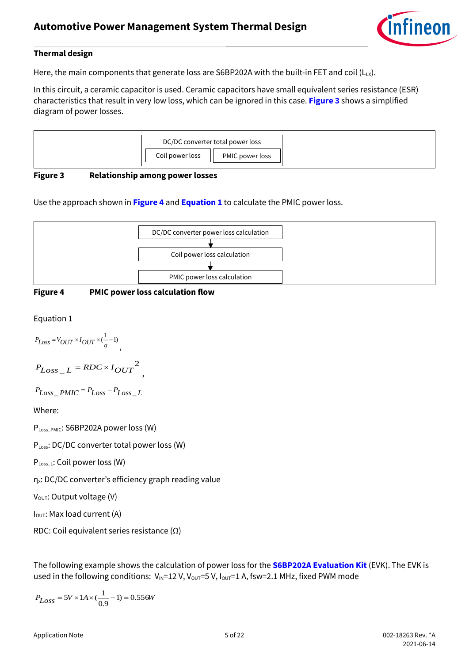

Here, the main components that generate loss are S6BP202A with the built-in FET and coil ( $L_{LX}$ ).

In this circuit, a ceramic capacitor is used. Ceramic capacitors have small equivalent series resistance (ESR) characteristics that result in very low loss, which can be ignored in this case. **[Figure 3](#page-4-0)** shows a simplified diagram of power losses.



#### <span id="page-4-0"></span>**Figure 3 Relationship among power losses**

Use the approach shown in **[Figure 4](#page-4-1)** and **[Equation 1](#page-4-2)** to calculate the PMIC power loss.



<span id="page-4-1"></span>

,

<span id="page-4-2"></span>Equation 1

$$
P_{Loss} = V_{OUT} \times I_{OUT} \times (\frac{1}{\eta} - 1),
$$

$$
P_{Loss\_L} = RDC \times I_{OUT}^2
$$

$$
P_{Loss\_PMIC} = P_{Loss} - P_{Loss\_L}
$$

Where:

PLoss\_PMIC: S6BP202A power loss (W)

PLoss: DC/DC converter total power loss (W)

PLoss\_L: Coil power loss (W)

ηx: DC/DC converter's efficiency graph reading value

 $V_{\text{OUT}}$ : Output voltage (V)

I<sub>OUT</sub>: Max load current (A)

RDC: Coil equivalent series resistance (Ω)

The following example shows the calculation of power loss for the **[S6BP202A Evaluation Kit](#page-19-3)** (EVK). The EVK is used in the following conditions:  $V_{\text{IN}}=12$  V,  $V_{\text{OUT}}=5$  V,  $I_{\text{OUT}}=1$  A, fsw=2.1 MHz, fixed PWM mode

$$
P_{Loss} = 5V \times 1A \times (\frac{1}{0.9} - 1) = 0.556W
$$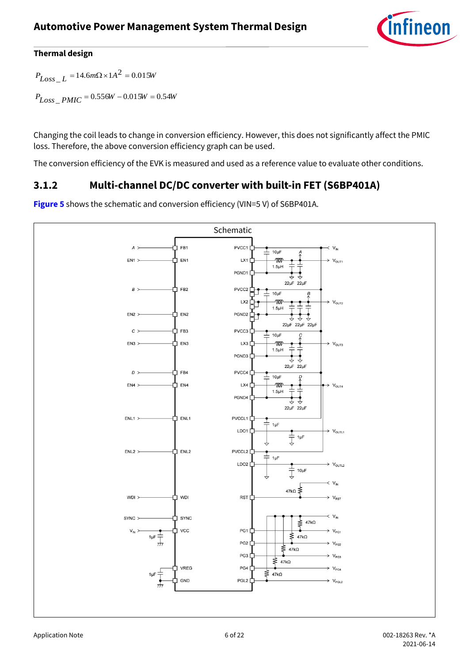

 $P_{Loss\_L} = 14.6 m\Omega \times 1A^2 = 0.015W$ 

*PLoss* \_ *PMIC* <sup>=</sup> 0.556*<sup>W</sup>* <sup>−</sup> 0.015*<sup>W</sup>* <sup>=</sup> 0.54*<sup>W</sup>*

Changing the coil leads to change in conversion efficiency. However, this does not significantly affect the PMIC loss. Therefore, the above conversion efficiency graph can be used.

The conversion efficiency of the EVK is measured and used as a reference value to evaluate other conditions.

### <span id="page-5-0"></span>**3.1.2 Multi-channel DC/DC converter with built-in FET (S6BP401A)**



**[Figure 5](#page-6-0)** shows the schematic and conversion efficiency (VIN=5 V) of S6BP401A.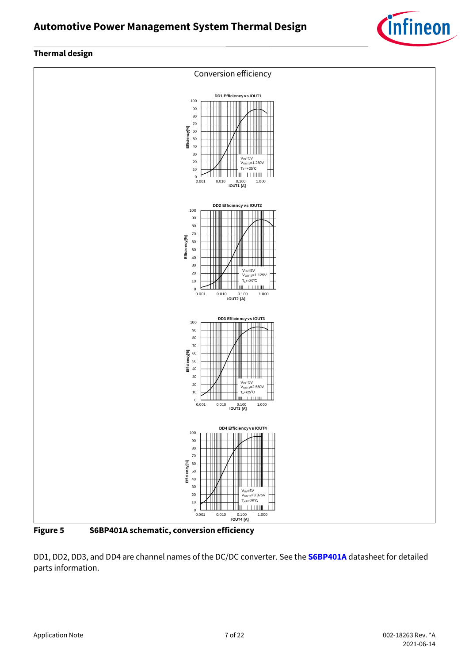



<span id="page-6-0"></span>**Figure 5 S6BP401A schematic, conversion efficiency**

DD1, DD2, DD3, and DD4 are channel names of the DC/DC converter. See the **[S6BP401A](https://www.cypress.com/documentation/datasheets/s6bp401a-power-management-ic-automotive-adas-platform-datasheet?source=search&keywords=s6bp401)** datasheet for detailed parts information.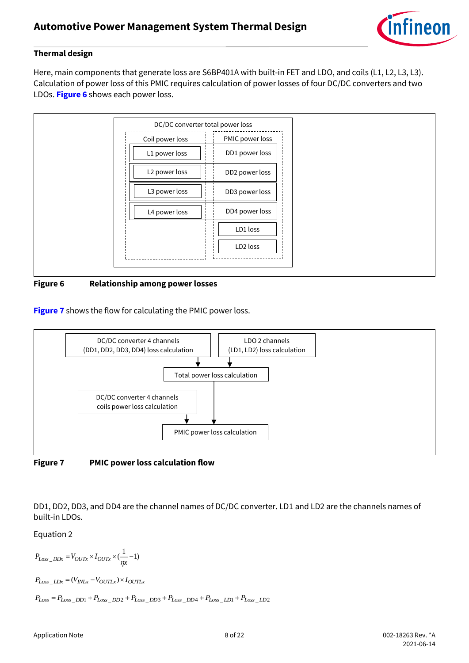

Here, main components that generate loss are S6BP401A with built-in FET and LDO, and coils (L1, L2, L3, L3). Calculation of power loss of this PMIC requires calculation of power losses of four DC/DC converters and two LDOs. **[Figure 6](#page-7-0)** shows each power loss.



<span id="page-7-0"></span>**Figure 6 Relationship among power losses**

**[Figure 7](#page-7-1)** shows the flow for calculating the PMIC power loss.



<span id="page-7-1"></span>**Figure 7 PMIC power loss calculation flow**

DD1, DD2, DD3, and DD4 are the channel names of DC/DC converter. LD1 and LD2 are the channels names of built-in LDOs.

Equation 2

 $P_{Loss\_DDx} = V_{OUTx} \times I_{OUTx} \times (\frac{1}{\eta x} - 1)$  $P_{Loss\_LDx} = (V_{INLx} - V_{OUTLx}) \times I_{OUTLx}$  $P_{Loss} = P_{Loss\_DD1} + P_{Loss\_DD2} + P_{Loss\_DD3} + P_{Loss\_DD4} + P_{Loss\_LD1} + P_{Loss\_LD2}$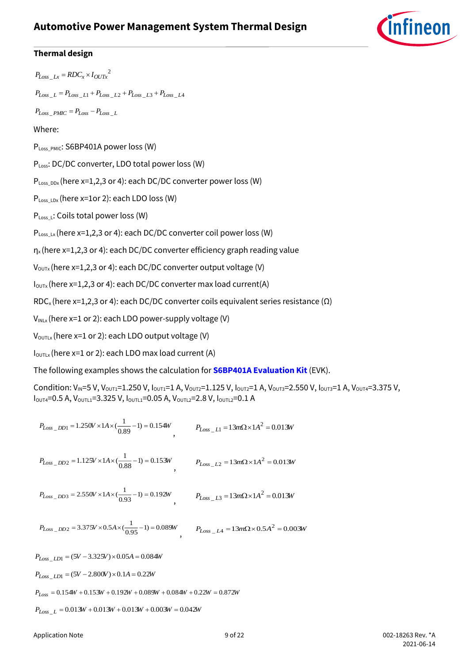### **Automotive Power Management System Thermal Design**



#### **Thermal design**

 $P_{Loss\_Lx} = RDC_x \times I_{OUTx}^2$ 

 $P_{Loss\_L} = P_{Loss\_L1} + P_{Loss\_L2} + P_{Loss\_L3} + P_{Loss\_L4}$ 

 $P_{Loss\_PMIC} = P_{Loss} - P_{Loss\_L}$ 

#### Where:

PLoss\_PMIC: S6BP401A power loss (W)

PLoss: DC/DC converter, LDO total power loss (W)

PLoss\_DDx (here x=1,2,3 or 4): each DC/DC converter power loss (W)

 $P_{Loss~LDx}$  (here x=1or 2): each LDO loss (W)

PLoss\_L: Coils total power loss (W)

 $P_{Loss\_Lx}$  (here x=1,2,3 or 4): each DC/DC converter coil power loss (W)

 $\eta_{\rm x}$ (here x=1,2,3 or 4): each DC/DC converter efficiency graph reading value

 $V_{\text{OUTX}}$  (here x=1,2,3 or 4): each DC/DC converter output voltage (V)

 $I_{\text{OUTX}}$ (here x=1,2,3 or 4): each DC/DC converter max load current(A)

RDC<sub>x</sub> (here x=1,2,3 or 4): each DC/DC converter coils equivalent series resistance ( $\Omega$ )

 $V_{INLx}$  (here x=1 or 2): each LDO power-supply voltage (V)

 $V_{\text{OUTLx}}$ (here x=1 or 2): each LDO output voltage (V)

 $I_{\text{OUTLx}}$  (here x=1 or 2): each LDO max load current (A)

The following examples shows the calculation for **[S6BP401A Evaluation Kit](#page-19-3)** (EVK).

Condition:  $V_{IN}$ =5 V, V<sub>OUT1</sub>=1.250 V, I<sub>OUT1</sub>=1 A, V<sub>OUT2</sub>=1.125 V, I<sub>OUT2</sub>=1 A, V<sub>OUT3</sub>=2.550 V, I<sub>OUT3</sub>=1 A, V<sub>OUT4</sub>=3.375 V, IOUT4=0.5 A, VOUTL1=3.325 V, IOUTL1=0.05 A, VOUTL2=2.8 V, IOUTL2=0.1 A

$$
P_{Loss\_DD1} = 1.250V \times 1A \times (\frac{1}{0.89} - 1) = 0.154W
$$
  
\n
$$
P_{Loss\_LD2} = 1.125V \times 1A \times (\frac{1}{0.88} - 1) = 0.153W
$$
  
\n
$$
P_{Loss\_LD3} = 2.550V \times 1A \times (\frac{1}{0.93} - 1) = 0.192W
$$
  
\n
$$
P_{Loss\_LD3} = 2.550V \times 1A \times (\frac{1}{0.93} - 1) = 0.192W
$$
  
\n
$$
P_{Loss\_LD3} = 13m\Omega \times 1A^2 = 0.013W
$$
  
\n
$$
P_{Loss\_DD2} = 3.375V \times 0.5A \times (\frac{1}{0.95} - 1) = 0.089W
$$
  
\n
$$
P_{Loss\_LI} = (5V - 3.325V) \times 0.05A = 0.084W
$$
  
\n
$$
P_{Loss\_LD1} = (5V - 2.800V) \times 0.1A = 0.22W
$$
  
\n
$$
P_{Loss\_LD1} = (5V - 2.800V) \times 0.1A = 0.22W
$$

 $P_{Loss} = 0.154W + 0.153W + 0.192W + 0.089W + 0.084W + 0.22W = 0.872W$ 

*PLoss* \_ *<sup>L</sup>* <sup>=</sup> 0.013*<sup>W</sup>* <sup>+</sup> 0.013*<sup>W</sup>* <sup>+</sup> 0.013*<sup>W</sup>* <sup>+</sup> 0.003*<sup>W</sup>* <sup>=</sup> 0.042*<sup>W</sup>*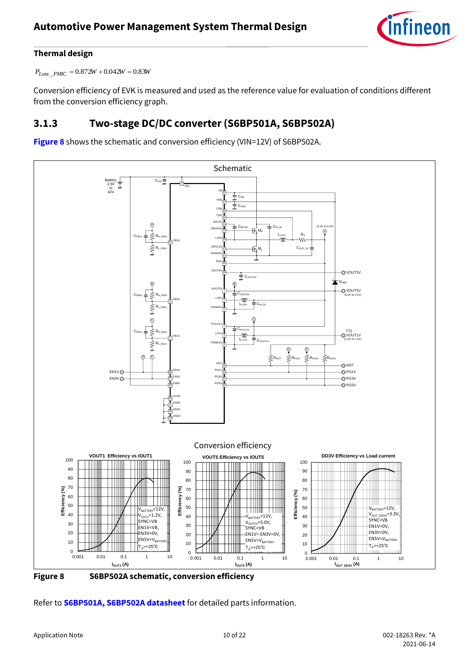

*PLoss* \_ *PMIC* <sup>=</sup> 0.872*<sup>W</sup>* <sup>+</sup> 0.042*<sup>W</sup>* <sup>=</sup> 0.83*<sup>W</sup>*

Conversion efficiency of EVK is measured and used as the reference value for evaluation of conditions different from the conversion efficiency graph.

### <span id="page-9-0"></span>**3.1.3 Two-stage DC/DC converter (S6BP501A, S6BP502A)**

**[Figure 8](#page-9-1)** shows the schematic and conversion efficiency (VIN=12V) of S6BP502A.





<span id="page-9-1"></span>**Figure 8 S6BP502A schematic, conversion efficiency**

Refer to **[S6BP501A, S6BP502A datasheet](https://www.cypress.com/documentation/datasheets/s6bp501a-s6bp502a-3ch-dcdc-converter-ic-automotive-cluster-datasheet?source=search&keywords=s6bp501)** for detailed parts information.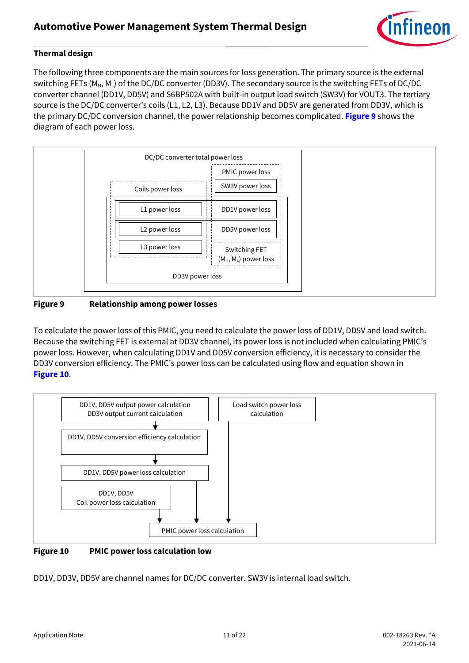

The following three components are the main sources for loss generation. The primary source is the external switching FETs (M<sub>H</sub>, ML) of the DC/DC converter (DD3V). The secondary source is the switching FETs of DC/DC converter channel (DD1V, DD5V) and S6BP502A with built-in output load switch (SW3V) for VOUT3. The tertiary source is the DC/DC converter's coils (L1, L2, L3). Because DD1V and DD5V are generated from DD3V, which is the primary DC/DC conversion channel, the power relationship becomes complicated. **[Figure 9](#page-10-0)** shows the diagram of each power loss.



#### <span id="page-10-0"></span>**Figure 9 Relationship among power losses**

To calculate the power loss of this PMIC, you need to calculate the power loss of DD1V, DD5V and load switch. Because the switching FET is external at DD3V channel, its power loss is not included when calculating PMIC's power loss. However, when calculating DD1V and DD5V conversion efficiency, it is necessary to consider the DD3V conversion efficiency. The PMIC's power loss can be calculated using flow and equation shown in **[Figure 10](#page-10-1)**.



<span id="page-10-1"></span>**Figure 10 PMIC power loss calculation low**

DD1V, DD3V, DD5V are channel names for DC/DC converter. SW3V is internal load switch.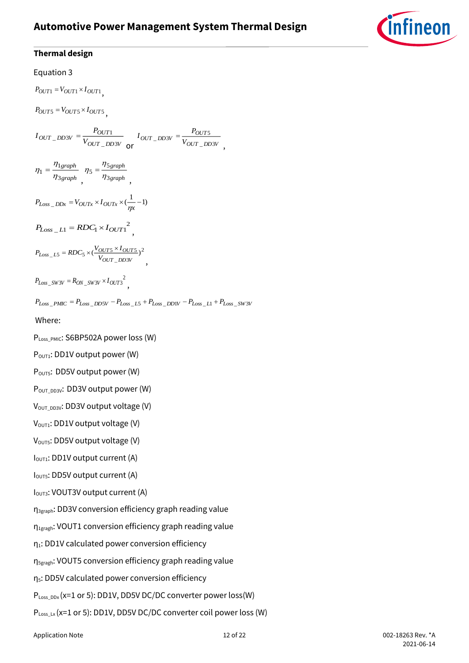### **Automotive Power Management System Thermal Design**



#### **Thermal design**

#### Equation 3

 $P_{OUT1} = V_{OUT1} \times I_{OUT1}$  $P_{OUT5} = V_{OUT5} \times I_{OUT5}$ *OUT DD V*  $\frac{V}{V} = \frac{V}{V}$  $I_{OUT}$  <sub>DD3V</sub> =  $\frac{P_{\text{S}}}{P_{\text{S}}}$  $\_$  DD 3  $_{-DD3V} = \frac{1}{V}$ or  $VOUT_DDSV$  $\frac{V}{V} = \frac{V}{V}$  $I_{OUT}$   $_{D13V}$  =  $\frac{P_i}{P_i}$  $\_$  DD 3  $_{-DD3V} = \frac{1}{V}$ , *graph graph* 3 1  $1-\eta$  $^{\eta}$  $\eta_1 =$ , *graph graph* 3 5  $5=\frac{2}{\eta}$  $\eta_5 = \frac{\eta}{\eta}$ ,  $P_{Loss\_DDx} = V_{OUTx} \times I_{OUTx} \times (\frac{1}{n} - 1)$  $P_{Loss\_LI} = RDC_1 \times I_{OUT1}^2$ 2  $\_$ DD3  $\mu_{L5} = RDC_5 \times (\frac{VOUT5 \land VOUT5}{VOUT DDSV})$  $D_{Loss\_LS} = RDC_5 \times (\frac{VOUT5 \land 1OUT}{VOUT}N2V})$  $P_{Loss\_LS} = RDC_5 \times (\frac{V_{OUT5} \times I_{OUT5}}{V_{OUT\_DD3V}})^2$  $P_{Loss\_SW3V} = R_{ON\_SW3V} \times I_{OUT3}^2$  $P_{Loss\_PMIC} = P_{Loss\_DD5V} - P_{Loss\_LS} + P_{Loss\_DD1V} - P_{Loss\_LI} + P_{Loss\_SW3V}$ Where: PLoss\_PMIC: S6BP502A power loss (W)  $P_{\text{OUT1}}$ : DD1V output power (W) P<sub>OUT5</sub>: DD5V output power (W) POUT\_DD3V: DD3V output power (W)  $V<sub>OUT</sub>$   $_{DDSV}$ : DD3V output voltage (V)  $V_{\text{OUT1}}$ : DD1V output voltage (V)  $V<sub>OUT5</sub>: DDSV output voltage  $(V)$$ I<sub>OUT1</sub>: DD1V output current (A) I<sub>OUT5</sub>: DD5V output current (A) I<sub>OUT3</sub>: VOUT3V output current (A) η3graph: DD3V conversion efficiency graph reading value η1gragh: VOUT1 conversion efficiency graph reading value  $η<sub>1</sub>$ : DD1V calculated power conversion efficiency η5gragh: VOUT5 conversion efficiency graph reading value

η5: DD5V calculated power conversion efficiency

 $P_{Loss\,DDx}$  (x=1 or 5): DD1V, DD5V DC/DC converter power loss(W)

PLoss\_Lx (x=1 or 5): DD1V, DD5V DC/DC converter coil power loss (W)

Application Note 12 of 22 002-18263 Rev. \*A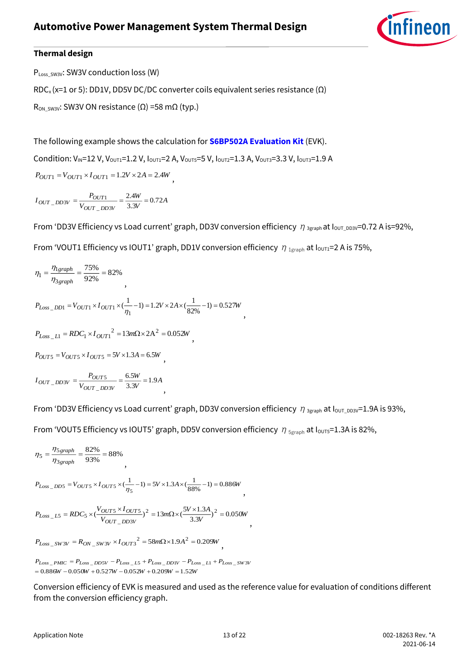

PLoss\_SW3V: SW3V conduction loss (W)

RDC<sub>x</sub> (x=1 or 5): DD1V, DD5V DC/DC converter coils equivalent series resistance ( $\Omega$ )

 $R_{ON-SW3V}$ : SW3V ON resistance (Ω) =58 mΩ (typ.)

The following example shows the calculation for **[S6BP502A Evaluation Kit](#page-19-3)** (EVK).

Condition:  $V_{IN}$ =12 V,  $V_{OUT1}$ =1.2 V,  $I_{OUT1}$ =2 A,  $V_{OUT5}$ =5 V,  $I_{OUT2}$ =1.3 A,  $V_{OUT3}$ =3.3 V,  $I_{OUT3}$ =1.9 A

 $P_{OUT1} = V_{OUT1} \times I_{OUT1} = 1.2V \times 2A = 2.4W$ 

 $\frac{V}{V} = 0.72A$ *W V*  $I_{OUT}$   $_{D23V}$  =  $\frac{P_i}{P_i}$ *OUT DD V*  $\omega_{UT}$  *DD3V* =  $\frac{1}{V_{OUT}}$  *DD3V* =  $\frac{2.4W}{3.3V}$  = 0.72 2.4  $\_$  DD 3  $\,$  $\frac{1}{N}$  =  $\frac{1}{N}$  =  $\frac{1}{2N}$  =  $\frac{1}{2N}$  =

From 'DD3V Efficiency vs Load current' graph, DD3V conversion efficiency  $\eta_{3\text{graph}}$  at  $I_{\text{OUT_DDSV}}=0.72$  A is=92%,

,

From 'VOUT1 Efficiency vs IOUT1' graph, DD1V conversion efficiency  $\eta_{1\text{graph}}$  at  $I_{\text{OUT1}}=2$  A is 75%,

$$
\eta_1 = \frac{\eta_{1graph}}{\eta_{3graph}} = \frac{75\%}{92\%} = 82\%
$$
\n
$$
P_{Loss\_DD1} = V_{OUT1} \times I_{OUT1} \times (\frac{1}{\eta_1} - 1) = 1.2V \times 2A \times (\frac{1}{82\%} - 1) = 0.527W
$$
\n
$$
P_{Loss\_LI} = RDC_1 \times I_{OUT1}^2 = 13m\Omega \times 2A^2 = 0.052W
$$
\n
$$
P_{OUT5} = V_{OUT5} \times I_{OUT5} = 5V \times 1.3A = 6.5W
$$
\n
$$
I_{OUT\_DD3V} = \frac{P_{OUT5}}{V_{OUT\_DD3V}} = \frac{6.5W}{3.3V} = 1.9A
$$

From 'DD3V Efficiency vs Load current' graph, DD3V conversion efficiency  $\eta_{3\text{graph}}$  at  $I_{\text{OUT_DD3V}}=1.9$ A is 93%,

From 'VOUT5 Efficiency vs IOUT5' graph, DD5V conversion efficiency  $\eta_{5\text{graph}}$  at I<sub>OUT5</sub>=1.3A is 82%,

$$
\eta_5 = \frac{\eta_{5\,graph}}{\eta_{3\,graph}} = \frac{82\%}{93\%} = 88\%
$$

 $P_{Loss\_DD5} = V_{OUT5} \times I_{OUT5} \times (-1) = 5V \times 1.3A \times (-1) = 0.886W$  $1_{DDS} = V_{OUT5} \times I_{OUT5} \times (\frac{1}{\eta_5} - 1) = 5V \times 1.3A \times (\frac{1}{88\%} - 1) =$ 

,

$$
P_{Loss\_LS} = RDC_5 \times (\frac{V_{OUT5} \times I_{OUT5}}{V_{OUT\_DD3V}})^2 = 13m\Omega \times (\frac{5V \times 1.3A}{3.3V})^2 = 0.050W
$$

 $P_{Loss\_SW3V} = R_{ON\_SW3V} \times I_{OUT3}^2 = 58m\Omega \times 1.9A^2 = 0.209W$ ,

 $W = 0.886W - 0.050W + 0.527W - 0.052W + 0.209W = 1.52W$  $P_{Loss\_PMIC} = P_{Loss\_DD5V} - P_{Loss\_LS} + P_{Loss\_DD1V} - P_{Loss\_LI} + P_{Loss\_SW3V}$ 

Conversion efficiency o[f EVK](#page-19-3) is measured and used as the reference value for evaluation of conditions different from the conversion efficiency graph.

,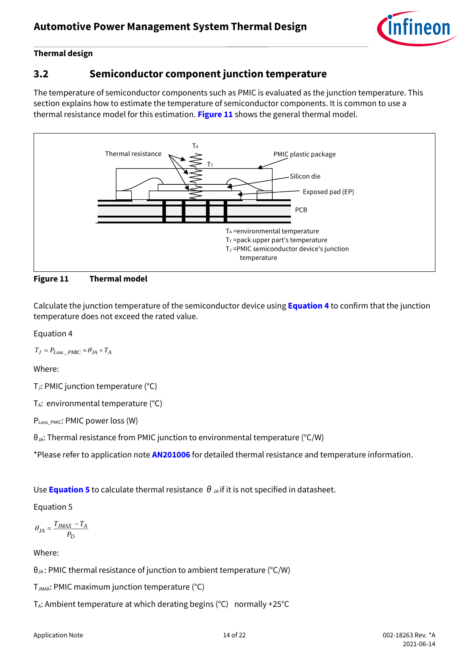

### <span id="page-13-0"></span>**3.2 Semiconductor component junction temperature**

The temperature of semiconductor components such as PMIC is evaluated as the junction temperature. This section explains how to estimate the temperature of semiconductor components. It is common to use a thermal resistance model for this estimation. **[Figure 11](#page-13-1)** shows the general thermal model.



<span id="page-13-1"></span>**Figure 11 Thermal model**

Calculate the junction temperature of the semiconductor device using **[Equation 4](#page-13-2)** to confirm that the junction temperature does not exceed the rated value.

<span id="page-13-2"></span>Equation 4

 $T_J = P_{Loss\_PMIC} \times \theta_{JA} + T_A$ 

Where:

T<sub>J</sub>: PMIC junction temperature (°C)

 $T_A$ : environmental temperature (°C)

P<sub>Loss PMIC</sub>: PMIC power loss (W)

 $\theta_{JA}$ : Thermal resistance from PMIC junction to environmental temperature (°C/W)

\*Please refer to application note **[AN201006](https://www.cypress.com/documentation/application-notes/an201006-thermal-considerations-and-parameters)** for detailed thermal resistance and temperature information.

Use **[Equation 5](#page-13-3)** to calculate thermal resistance  $\theta_{\mu}$  if it is not specified in datasheet.

<span id="page-13-3"></span>Equation 5

$$
\theta_{JA} = \frac{T_{JMAX} - T_A}{P_D}
$$

Where:

 $\theta_{JA}$ : PMIC thermal resistance of junction to ambient temperature (°C/W)

TJMAX: PMIC maximum junction temperature (°C)

 $T_A$ : Ambient temperature at which derating begins (°C) normally +25°C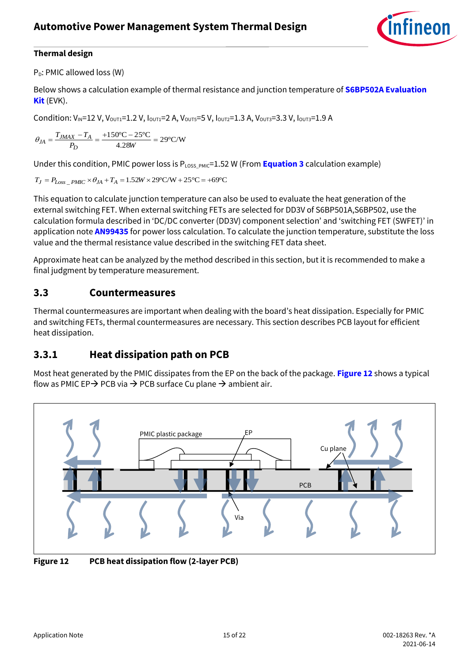

P<sub>D</sub>: PMIC allowed loss (W)

Below shows a calculation example of thermal resistance and junction temperature of **[S6BP502A Evaluation](#page-19-3)  [Kit](#page-19-3)** (EVK).

Condition:  $V_{IN}$ =12 V,  $V_{OUT1}$ =1.2 V,  $I_{OUT1}$ =2 A,  $V_{OUT5}$ =5 V,  $I_{OUT2}$ =1.3 A,  $V_{OUT3}$ =3.3 V,  $I_{OUT3}$ =1.9 A

$$
\theta_{JA} = \frac{T_{JMAX} - T_A}{P_D} = \frac{+150^{\circ}\text{C} - 25^{\circ}\text{C}}{4.28W} = 29^{\circ}\text{C/W}
$$

Under this condition, PMIC power loss is  $P_{\text{LOS PMIC}}=1.52$  W (From **Equation 3** calculation example)

$$
T_J = P_{Loss\_PMIC} \times \theta_{JA} + T_A = 1.52W \times 29^{\circ} \text{C/W} + 25^{\circ} \text{C} = +69^{\circ} \text{C}
$$

This equation to calculate junction temperature can also be used to evaluate the heat generation of the external switching FET. When external switching FETs are selected for DD3V of S6BP501A,S6BP502, use the calculation formula described in 'DC/DC converter (DD3V) component selection' and 'switching FET (SWFET)' in application note **[AN99435](https://www.cypress.com/documentation/application-notes/an99435-designing-power-management-system-s6bp501a-and-s6bp502a?source=search&keywords=an99435)** for power loss calculation. To calculate the junction temperature, substitute the loss value and the thermal resistance value described in the switching FET data sheet.

Approximate heat can be analyzed by the method described in this section, but it is recommended to make a final judgment by temperature measurement.

#### <span id="page-14-0"></span>**3.3 Countermeasures**

Thermal countermeasures are important when dealing with the board's heat dissipation. Especially for PMIC and switching FETs, thermal countermeasures are necessary. This section describes PCB layout for efficient heat dissipation.

### <span id="page-14-1"></span>**3.3.1 Heat dissipation path on PCB**

Most heat generated by the PMIC dissipates from the EP on the back of the package. **[Figure 12](#page-14-2)** shows a typical flow as PMIC EP $\rightarrow$  PCB via  $\rightarrow$  PCB surface Cu plane  $\rightarrow$  ambient air.



<span id="page-14-2"></span>**Figure 12 PCB heat dissipation flow (2-layer PCB)**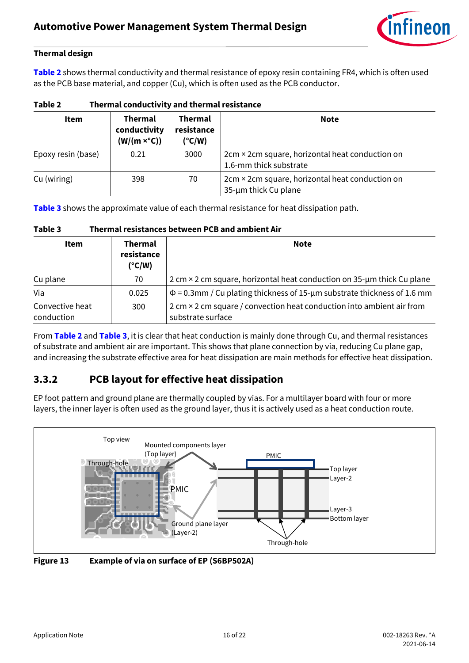

**[Table 2](#page-15-1)** shows thermal conductivity and thermal resistance of epoxy resin containing FR4, which is often used as the PCB base material, and copper (Cu), which is often used as the PCB conductor.

| <b>Item</b>        | <b>Thermal</b><br>conductivity<br>$(W/(m \times^{\circ} C))$ | <b>Thermal</b><br>resistance<br>(°C/W) | <b>Note</b>                                                               |  |
|--------------------|--------------------------------------------------------------|----------------------------------------|---------------------------------------------------------------------------|--|
| Epoxy resin (base) | 0.21                                                         | 3000                                   | 2cm × 2cm square, horizontal heat conduction on<br>1.6-mm thick substrate |  |
| Cu (wiring)        | 398                                                          | 70                                     | 2cm × 2cm square, horizontal heat conduction on<br>35-um thick Cu plane   |  |

<span id="page-15-1"></span>**Table 2 Thermal conductivity and thermal resistance**

**[Table 3](#page-15-2)** shows the approximate value of each thermal resistance for heat dissipation path.

| .                             |                                                 |                                                                                                   |  |  |
|-------------------------------|-------------------------------------------------|---------------------------------------------------------------------------------------------------|--|--|
| Item                          | <b>Thermal</b><br>resistance<br>$(^{\circ}C/W)$ | <b>Note</b>                                                                                       |  |  |
| Cu plane                      | 70                                              | 2 cm × 2 cm square, horizontal heat conduction on 35-um thick Cu plane                            |  |  |
| Via                           | 0.025                                           | $\Phi$ = 0.3mm / Cu plating thickness of 15-µm substrate thickness of 1.6 mm                      |  |  |
| Convective heat<br>conduction | 300                                             | 2 cm $\times$ 2 cm square / convection heat conduction into ambient air from<br>substrate surface |  |  |

From **[Table 2](#page-15-1)** and **[Table 3](#page-15-2)**, it is clear that heat conduction is mainly done through Cu, and thermal resistances of substrate and ambient air are important. This shows that plane connection by via, reducing Cu plane gap, and increasing the substrate effective area for heat dissipation are main methods for effective heat dissipation.

### <span id="page-15-0"></span>**3.3.2 PCB layout for effective heat dissipation**

<span id="page-15-2"></span>**Table 3 Thermal resistances between PCB and ambient Air**

EP foot pattern and ground plane are thermally coupled by vias. For a multilayer board with four or more layers, the inner layer is often used as the ground layer, thus it is actively used as a heat conduction route.



**Figure 13 Example of via on surface of EP (S6BP502A)**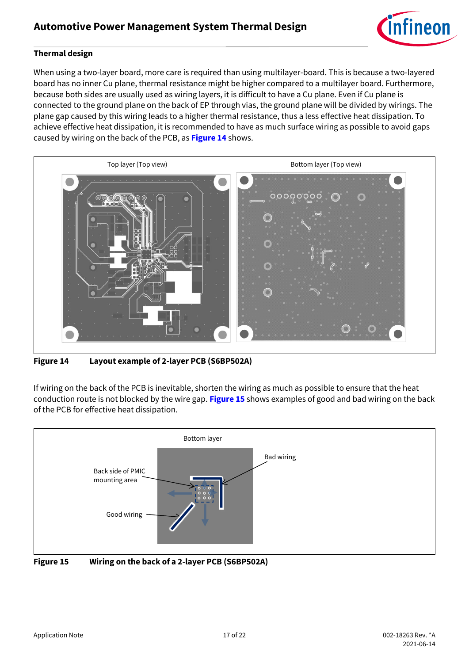

When using a two-layer board, more care is required than using multilayer-board. This is because a two-layered board has no inner Cu plane, thermal resistance might be higher compared to a multilayer board. Furthermore, because both sides are usually used as wiring layers, it is difficult to have a Cu plane. Even if Cu plane is connected to the ground plane on the back of EP through vias, the ground plane will be divided by wirings. The plane gap caused by this wiring leads to a higher thermal resistance, thus a less effective heat dissipation. To achieve effective heat dissipation, it is recommended to have as much surface wiring as possible to avoid gaps caused by wiring on the back of the PCB, as **[Figure 14](#page-16-0)** shows.



**Figure 14 Layout example of 2-layer PCB (S6BP502A)**

<span id="page-16-0"></span>If wiring on the back of the PCB is inevitable, shorten the wiring as much as possible to ensure that the heat conduction route is not blocked by the wire gap. **[Figure 15](#page-16-1)** shows examples of good and bad wiring on the back of the PCB for effective heat dissipation.



<span id="page-16-1"></span>**Figure 15 Wiring on the back of a 2-layer PCB (S6BP502A)**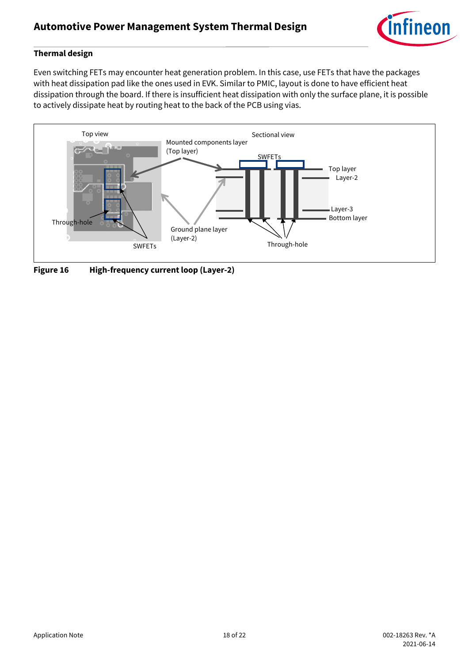

Even switching FETs may encounter heat generation problem. In this case, use FETs that have the packages with heat dissipation pad like the ones used in EVK. Similar to PMIC, layout is done to have efficient heat dissipation through the board. If there is insufficient heat dissipation with only the surface plane, it is possible to actively dissipate heat by routing heat to the back of the PCB using vias.



**Figure 16 High-frequency current loop (Layer-2)**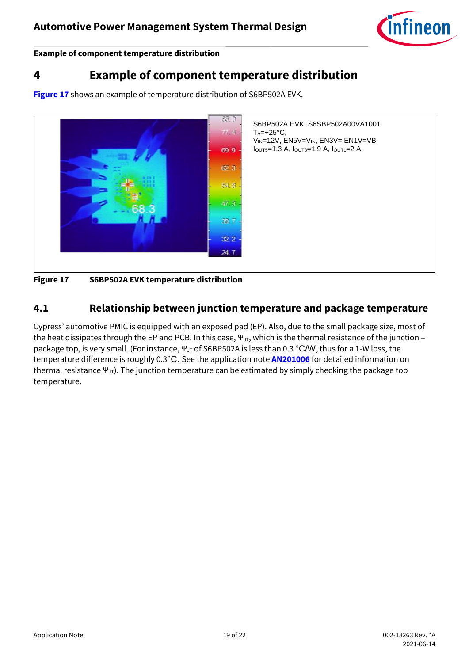

**Example of component temperature distribution**

### <span id="page-18-0"></span>**4 Example of component temperature distribution**

**[Figure 17](#page-18-2)** shows an example of temperature distribution of S6BP502A EVK.



<span id="page-18-2"></span>**Figure 17 S6BP502A EVK temperature distribution**

### <span id="page-18-1"></span>**4.1 Relationship between junction temperature and package temperature**

Cypress' automotive PMIC is equipped with an exposed pad (EP). Also, due to the small package size, most of the heat dissipates through the EP and PCB. In this case,  $\Psi_{\text{JT}}$ , which is the thermal resistance of the junction – package top, is very small. (For instance, Ψ<sub>JT</sub> of S6BP502A is less than 0.3 °C/W, thus for a 1-W loss, the temperature difference is roughly 0.3°C. See the application note **[AN201006](https://www.cypress.com/documentation/application-notes/an201006-thermal-considerations-and-parameters)** for detailed information on thermal resistance  $\Psi_{JT}$ ). The junction temperature can be estimated by simply checking the package top temperature.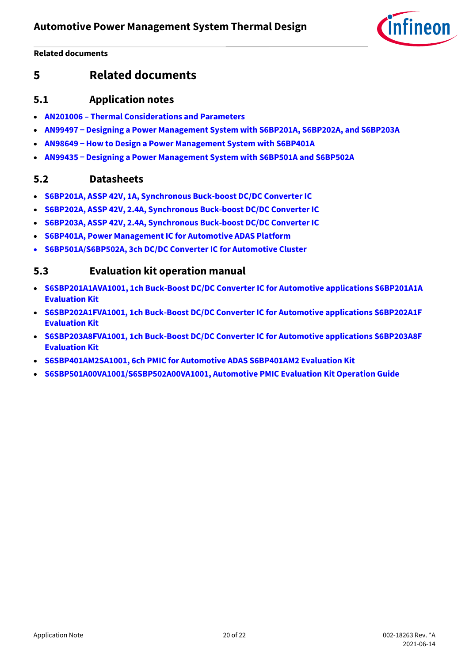fineon

**Related documents**

### <span id="page-19-0"></span>**5 Related documents**

#### <span id="page-19-1"></span>**5.1 Application notes**

- **AN201006 – [Thermal Considerations and Parameters](https://www.cypress.com/documentation/application-notes/an201006-thermal-considerations-and-parameters)**
- **AN99497 [Designing a Power Management System with S6BP201A, S6BP202A, and S6BP203A](https://www.cypress.com/documentation/application-notes/an99497-designing-power-management-system-s6bp201a-s6bp202a-and?source=search&keywords=an99497)**
- **AN98649 [How to Design a Power Management System with S6BP401A](https://www.cypress.com/documentation/application-notes/an98649-how-design-power-management-system-s6bp401a?source=search&keywords=an98649)**
- **AN99435 [Designing a Power Management System with S6BP501A and S6BP502A](https://www.cypress.com/documentation/application-notes/an99435-designing-power-management-system-s6bp501a-and-s6bp502a?source=search&keywords=an99435)**

#### <span id="page-19-2"></span>**5.2 Datasheets**

- **[S6BP201A, ASSP 42V, 1A, Synchronous Buck-boost DC/DC Converter IC](https://www.cypress.com/documentation/datasheets/s6bp201a-assp-42v-1a-synchronous-buck-boost-dcdc-converter-ic?source=search&keywords=s6bp201)**
- **[S6BP202A, ASSP 42V, 2.4A, Synchronous Buck-boost DC/DC Converter IC](https://www.cypress.com/documentation/datasheets/s6bp202a-assp-42v-24a-synchronous-buck-boost-dcdc-converter-ic?source=search&keywords=s6bp202)**
- **[S6BP203A, ASSP 42V, 2.4A, Synchronous Buck-boost DC/DC Converter IC](https://www.cypress.com/documentation/datasheets/s6bp203a-assp-42v-24a-synchronous-buck-boost-dcdc-converter-ic?source=search&keywords=s6bp203)**
- **[S6BP401A, Power Management IC for Automotive ADAS Platform](https://www.cypress.com/documentation/datasheets/s6bp401a-power-management-ic-automotive-adas-platform-datasheet?source=search&keywords=s6bp401)**
- **[S6BP501A/S6BP502A, 3ch DC/DC Converter IC for Automotive Cluster](https://www.cypress.com/documentation/datasheets/s6bp501a-s6bp502a-3ch-dcdc-converter-ic-automotive-cluster-datasheet?source=search&keywords=s6bp501)**

#### <span id="page-19-3"></span>**5.3 Evaluation kit operation manual**

- **[S6SBP201A1AVA1001, 1ch Buck-Boost DC/DC Converter IC for Automotive applications S6BP201A1A](https://www.cypress.com/documentation/development-kitsboards/s6sbp201a1ava1001-evaluation-kit-automotive-pmic)  [Evaluation Kit](https://www.cypress.com/documentation/development-kitsboards/s6sbp201a1ava1001-evaluation-kit-automotive-pmic)**
- **[S6SBP202A1FVA1001, 1ch Buck-Boost DC/DC Converter IC for Automotive applications S6BP202A1F](https://www.cypress.com/documentation/development-kitsboards/s6sbp202a1fva1001-evaluation-kit-automotive-pmic)  [Evaluation Kit](https://www.cypress.com/documentation/development-kitsboards/s6sbp202a1fva1001-evaluation-kit-automotive-pmic)**
- **[S6SBP203A8FVA1001, 1ch Buck-Boost DC/DC Converter IC for Automotive applications S6BP203A8F](https://www.cypress.com/documentation/development-kitsboards/s6sbp203a8fva1001-evaluation-kit-automotive-pmic)  [Evaluation Kit](https://www.cypress.com/documentation/development-kitsboards/s6sbp203a8fva1001-evaluation-kit-automotive-pmic)**
- **[S6SBP401AM2SA1001, 6ch PMIC for Automotive ADAS S6BP401AM2 Evaluation Kit](https://www.cypress.com/S6BP401AM2/Kit-User-Guide)**
- **[S6SBP501A00VA1001/S6SBP502A00VA1001, Automotive PMIC Evaluation Kit Operation Guide](https://www.cypress.com/documentation/development-kitsboards/s6sbp501a00va1001-s6sbp502a00va1001-automotive-pmic-evaluation?source=search&keywords=S6BP501A)**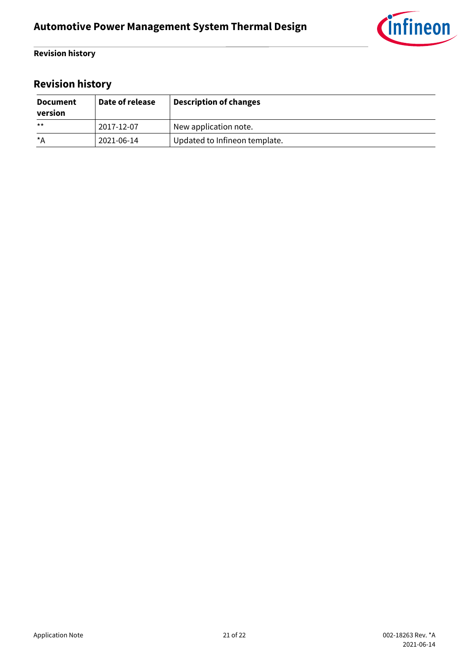

#### **Revision history**

# <span id="page-20-0"></span>**Revision history**

| <b>Document</b><br>version | Date of release | <b>Description of changes</b> |
|----------------------------|-----------------|-------------------------------|
| $***$                      | 2017-12-07      | New application note.         |
| $\star$ A                  | 2021-06-14      | Updated to Infineon template. |